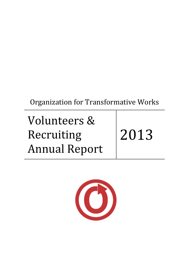Organization for Transformative Works

Volunteers & Recruiting Annual Report

2013

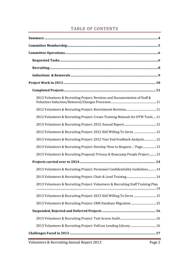# TABLE OF CONTENTS

| 2012 Volunteers & Recruiting Project: Revision and Documentation of Staff &       |
|-----------------------------------------------------------------------------------|
|                                                                                   |
| 2012 Volunteers & Recruiting Project: Create Training Manuals for OTW Tools  11   |
|                                                                                   |
| 2012 Volunteers & Recruiting Project: 2012 Still Willing To Serve  12             |
| 2013 Volunteers & Recruiting Project: 2012 Year End Feedback Analysis12           |
| 2013 Volunteers & Recruiting Project: Develop 'How to Request' Page 13            |
| 2013 Volunteers & Recruiting Proposal: Privacy & Basecamp People Project13        |
|                                                                                   |
| 2013 Volunteers & Recruiting Project: Personnel Confidentiality Guidelines 14     |
|                                                                                   |
| 2013 Volunteers & Recruiting Project: Volunteers & Recruiting Staff Training Plan |
| 2013 Volunteers & Recruiting Project: 2013 Still Willing To Serve  15             |
|                                                                                   |
|                                                                                   |
|                                                                                   |
|                                                                                   |
|                                                                                   |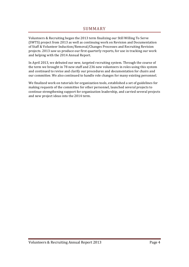Volunteers & Recruiting began the 2013 term finalizing our Still Willing To Serve (SWTS) project from 2013 as well as continuing work on Revision and Documentation of Staff & Volunteer Induction/Removal/Changes Processes and Recruiting Revision projects. 2013 saw us produce our first quarterly reports, for use in tracking our work and helping with the 2014 Annual Report.

In April 2013, we debuted our new, targeted recruiting system. Through the course of the term we brought in 78 new staff and 236 new volunteers in roles using this system and continued to revise and clarify our procedures and documentation for chairs and our committee. We also continued to handle role changes for many existing personnel.

We finalized work on tutorials for organization tools, established a set of guidelines for making requests of the committee for other personnel, launched several projects to continue strengthening support for organization leadership, and carried several projects and new project ideas into the 2014 term.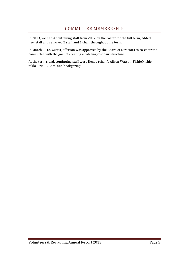In 2013, we had 4 continuing staff from 2012 on the roster for the full term, added 3 new staff and removed 2 staff and 1 chair throughout the term.

In March 2013, Curtis Jefferson was approved by the Board of Directors to co-chair the committee with the goal of creating a rotating co-chair structure.

At the term's end, continuing staff were Renay (chair), Alison Watson, FishieMishie, tekla, Erin C., Cece, and bookgazing.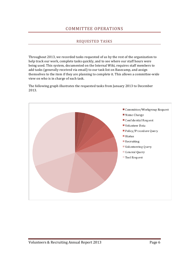## COMMITTEE OPERATIONS

#### REQUESTED TASKS

Throughout 2013, we recorded tasks requested of us by the rest of the organization to help track our work, complete tasks quickly, and to see where our staff hours were being used. This system, documented on the Internal Wiki, requires staff members to add tasks (generally received via email) to our task list on Basecamp, and assign themselves to the item if they are planning to complete it. This allows a committee-wide view on who is in charge of each task.

The following graph illustrates the requested tasks from January 2013 to December 2013.

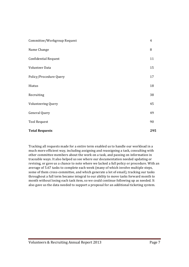| Committee/Workgroup Request | $\overline{4}$ |
|-----------------------------|----------------|
| Name Change                 | 8              |
| <b>Confidential Request</b> | 11             |
| Volunteer Data              | 15             |
| Policy/Procedure Query      | 17             |
| Hiatus                      | 18             |
| Recruiting                  | 38             |
| Volunteering Query          | 45             |
| General Query               | 49             |
| <b>Tool Request</b>         | 90             |
| <b>Total Requests</b>       | 295            |

Tracking all requests made for a entire term enabled us to handle our workload in a much more efficient way, including assigning and reassigning a task, consulting with other committee members about the work on a task, and passing on information in traceable ways. It also helped us see where our documentation needed updating or revising, or gave us a chance to note where we lacked a full policy or procedure. With an average of 5.67 tasks to complete each week (many of which involve multiple steps, some of them cross-committee, and which generate a lot of email), tracking our tasks throughout a full term became integral to our ability to move tasks forward month to month without losing each task item, so we could continue following up as needed. It also gave us the data needed to support a proposal for an additional ticketing system.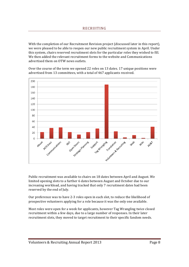With the completion of our Recruitment Revision project (discussed later in this report), we were pleased to be able to reopen our new public recruitment system in April. Under this system, chairs reserved recruitment slots for the particular roles they wished to fill. We then added the relevant recruitment forms to the website and Communications advertised them on OTW news outlets.

Over the course of the term we opened 22 roles on 13 dates.  $17$  unique positions were advertised from 13 committees, with a total of 467 applicants received.



Public recruitment was available to chairs on 18 dates between April and August. We limited opening slots to a further 6 dates between August and October due to our increasing workload, and having tracked that only 7 recruitment dates had been reserved by the end of July.

Our preference was to have 2-3 roles open in each slot, to reduce the likelihood of prospective volunteers applying for a role because it was the only one available.

Most roles were open for a week for applicants, however Tag Wrangling twice closed recruitment within a few days, due to a large number of responses. In their later recruitment slots, they moved to target recruitment to their specific fandom needs.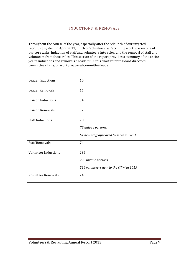Throughout the course of the year, especially after the relaunch of our targeted recruiting system in April 2013, much of Volunteers & Recruiting work was on one of our core tasks, induction of staff and volunteers into roles, and the removal of staff and volunteers from those roles. This section of the report provides a summary of the entire year's inductions and removals. "Leaders" in this chart refer to Board directors, committee chairs, or workgroup/subcommittee leads.

| <b>Leader Inductions</b>    | 10                                                                 |
|-----------------------------|--------------------------------------------------------------------|
| Leader Removals             | 15                                                                 |
| Liaison Inductions          | 34                                                                 |
| <b>Liaison Removals</b>     | 32                                                                 |
| <b>Staff Inductions</b>     | 78<br>78 unique persons.<br>61 new staff approved to serve in 2013 |
| <b>Staff Removals</b>       | 74                                                                 |
| <b>Volunteer Inductions</b> | 236<br>228 unique persons<br>216 volunteers new to the OTW in 2013 |
| <b>Volunteer Removals</b>   | 240                                                                |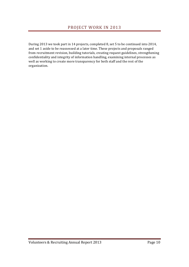During 2013 we took part in 14 projects, completed 8, set 5 to be continued into 2014, and set 1 aside to be reassessed at a later time. These projects and proposals ranged from recruitment revision, building tutorials, creating request guidelines, strengthening confidentiality and integrity of information handling, examining internal processes as well as working to create more transparency for both staff and the rest of the organization.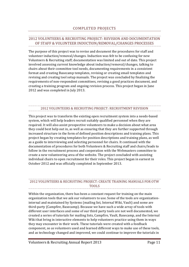#### 2012 VOLUNTEERS & RECRUITING PROJECT: REVISION AND DOCUMENTATION OF STAFF & VOLUNTEER INDUCTION/REMOVAL/CHANGES PROCESSES

The purpose of this project was to revise and document the procedures for staff and volunteer induction/removal/changes. Induction was felt to be confusing for new Volunteers & Recruiting staff; documentation was limited and out of date. This project involved assessing current knowledge about induction/removal/changes, talking to chairs about their committee tool needs, documenting requirements in a consistent format and creating Basecamp templates, revising or creating email templates and revising and creating tool setup manuals. The project was concluded by finalizing the requirements of non-respondent committees, revising a good practices document, and creating a training program and ongoing revision process. This project began in June 2012 and was completed in July 2013.

#### 2012 VOLUNTEERS & RECRUITING PROJECT: RECRUITMENT REVISION

This project was to transform the existing open recruitment system into a needs-based system, which will help leaders recruit suitably qualified personnel when they are required. It will also assist prospective volunteers to make a decision about what area they could best help out in, as well as ensuring that they are further supported through increased structure in the form of defined position descriptions and training plans. This project began by creating templates for position descriptions and training plans, as well as a guide to interviewing and selecting personnel for chairs. It continued with the documentation of procedures for both Volunteers & Recruiting staff and chairs/leads to follow in the recruitment process and cooperation with the Webmasters committee to create a new volunteering area of the website. The project concluded with assisting individual chairs to open recruitment for their roles. This project began in earnest in October 2012 and was officially completed in September 2013.

#### 2012 VOLUNTEERS & RECRUITING PROJECT: CREATE TRAINING MANUALS FOR OTW **TOOLS**

Within the organization, there has been a constant request for training on the main organization tools that we ask our volunteers to use. Some of the tools are organizationinternal and maintained by Systems (mailing list, Internal Wiki, Vault) and some are third-party (Campfire, Basecamp). Because we have such a wide array of tools with different user interfaces and some of our third party tools are not well documented, we created a series of tutorials for mailing lists, Campfire, Vault, Basecamp, and the Internal Wiki that bring in interactive elements to help volunteers practice using them in ways they may encounter in their work. These tutorials were created with a feedback component, so as volunteers used and learned different ways to make use of these tools, and as technology changed and improved, we could continue to improve the tutorials in

Volunteers & Recruiting Annual Report 2013 Page 11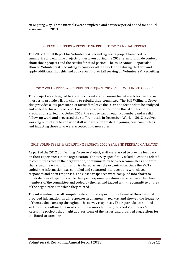an ongoing way. These tutorials were completed and a review period added for annual assessment in 2013.

### 2013 VOLUNTEERS & RECRUITING PROJECT: 2012 ANNUAL REPORT

The 2012 Annual Report for Volunteers & Recruiting was a project launched to summarize and examine projects undertaken during the 2012 term to provide context about those projects and the results for third parties. The 2012 Annual Report also allowed Volunteers & Recruiting to consider all the work done during the term and apply additional thoughts and advice for future staff serving on Volunteers & Recruiting.

#### 2012 VOLUNTEERS & RECRUITING PROJECT: 2012 STILL WILLING TO SERVE

This project was designed to identify current staff's committee interests for next term, in order to provide a list to chairs to rebuild their committee. The Still Willing to Serve also provides a low pressure exit for staff to leave the OTW and feedback to be analyzed and collected for a future report on the staff experience to the Board of Directors. Preparation started in October 2012, the survey ran through November, and we did follow-up work and processed the staff removals in December. Work in 2013 involved working with chairs to consider staff who were interested in joining new committees and inducting those who were accepted into new roles.

## 2013 VOLUNTEERS & RECRUITING PROJECT: 2012 YEAR END FEEDBACK ANALYSIS

As part of the 2012 Still Willing To Serve Project, staff were asked to provide feedback on their experiences in the organization. The survey specifically asked questions related to committee roles in the organization, communication between committees and from chairs, and the ways information is shared across the organization. Once the SWTS ended, the information was compiled and separated into questions with closed responses and open responses. The closed responses were compiled into charts to illustrate overall opinions while the open response questions were reviewed by three members of the committee and coded by themes and tagged with the committee or area of the organization to which they related.

The information was all compiled into a formal report for the Board of Directors that provided information on all responses in an anonymized way and showed the frequency of themes that came up throughout the survey responses. The report also contained sections that outlined the most common issues identified, detailed Volunteers & Recruiting projects that might address some of the issues, and provided suggestions for the Board to consider.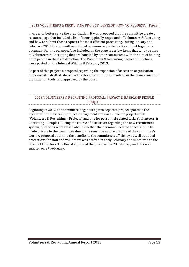# 2013 VOLUNTEERS & RECRUITING PROJECT: DEVELOP 'HOW TO REQUEST...' PAGE

In order to better serve the organization, it was proposed that the committee create a resource page that included a list of items typically requested of Volunteers & Recruiting and how to submit those requests for most efficient processing. During January and February 2013, the committee outlined common requested tasks and put together a document for this purpose. Also included on the page are a few items that tend to come to Volunteers & Recruiting that are handled by other committees with the aim of helping point people in the right direction. The Volunteers & Recruiting Request Guidelines were posted on the Internal Wiki on 8 February 2013.

As part of this project, a proposal regarding the expansion of access on organization tools was also drafted, shared with relevant committees involved in the management of organization tools, and approved by the Board.

#### 2013 VOLUNTEERS & RECRUITING PROPOSAL: PRIVACY & BASECAMP PEOPLE PROJECT

Beginning in 2012, the committee began using two separate project spaces in the organization's Basecamp project management software - one for project work (Volunteers & Recruiting – Projects) and one for personnel-related tasks (Volunteers  $&$ Recruiting – People). During the course of discussion regarding the new recruitment system, questions were raised about whether the personnel-related space should be made private to the committee due to the sensitive nature of some of the committee's work. A proposal outlining the benefits to the committee's efficiency as well as added protections for staff and volunteers was drafted in early February and submitted to the Board of Directors. The Board approved the proposal on 23 February and this was enacted on 27 February.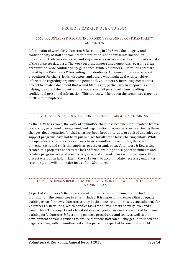#### PROJECTS CARRIED OVER TO 2014

#### 2013 VOLUNTEERS & RECRUITING PROJECT: PERSONNEL CONFIDENTIALITY GUIDELINES

A focal point of work for Volunteers & Recruiting in 2013 was the integrity and confidentiality of staff and volunteer information. Confidential information on organization tools was restricted and steps were taken to ensure the continued security of the volunteer database. The work on these issues raised questions regarding clear organization-wide confidentiality guidelines. While Volunteers & Recruiting staff are bound by the Volunteers & Recruiting Confidentiality Agreement, there were no set procedures for chairs, leads, directors, and others who might deal with sensitive information regarding organization personnel. Volunteers  $&$  Recruiting created this project to create a document that would fill this gap, particularly in supporting and helping to protect the organization's leaders and all personnel when handling confidential personnel information. This project will be put on the committee's agenda in 2014 for completion.

# 2013 VOLUNTEERS & RECRUITING PROJECT: CHAIR & LEAD TRAINING

As the OTW has grown, the work of committee chairs has become more involved from a leadership, personnel management, and organization process perspective. During these changes, documentation for chairs has not been kept up-to-date or revised and adequate support programs have not been put in place for all of the tasks chairing entails. While the operational role of a chair can vary from committee to committee, there are universal tasks and skills that apply across the organization. Volunteers & Recruiting created this project to address the lack of formal training and support documents and create a program to assist prospective, new, and current chairs with their work. The project was put on hold in late in the 2013 term to accommodate necessary end of term recruiting, and will be a major focus of the 2014 term.

#### 2013 VOLUNTEERS & RECRUITING PROJECT: VOLUNTEERS & RECRUITING STAFF TRAINING PLAN

As part of Volunteers & Recruiting's goal to provide better documentation for the organization, the committee itself is included. It is important to ensure that adequate training exists for new volunteers as they begin a new role, and this is especially true for Volunteers & Recruiting, which handles tasks for all volunteers at every level and all committees. This project seeks to establish a comprehensive overview of and hands-on training for Volunteers & Recruiting policies, procedures, and tools, as well as the development of training videos to ensure that new staff can quickly get up to speed and begin assisting with committee tasks. This project is expected to conclude in 2014.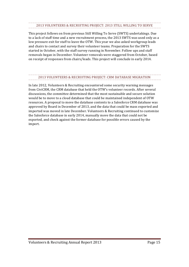# 2013 VOLUNTEERS & RECRUITING PROJECT: 2013 STILL WILLING TO SERVE

This project follows on from previous Still Willing To Serve (SWTS) undertakings. Due to a lack of staff time and a new recruitment process, the 2013 SWTS was used only as a low pressure exit for staff to leave the OTW. This year we also asked workgroup leads and chairs to contact and survey their volunteer teams. Preparation for the SWTS started in October, with the staff survey running in November. Follow ups and staff removals began in December. Volunteer removals were staggered from October, based on receipt of responses from chairs/leads. This project will conclude in early 2014.

### 2013 VOLUNTEERS & RECRUITING PROJECT: CRM DATABASE MIGRATION

In late 2012, Volunteers & Recruiting encountered some security warning messages from CiviCRM, the CRM database that held the OTW's volunteer records. After several discussions, the committee determined that the most sustainable and secure solution would be to move to a cloud database that could be maintained independent of OTW resources. A proposal to move the database contents to a Salesforce CRM database was approved by Board in December of 2013, and the data that could be mass exported and imported was moved in late December. Volunteers & Recruiting continued to customize the Salesforce database in early 2014, manually move the data that could not be exported, and check against the former database for possible errors caused by the import.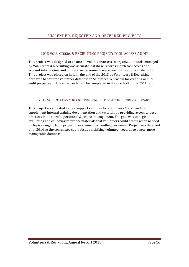# 2013 VOLUNTEERS & RECRUITING PROJECT: TOOL ACCESS AUDIT

This project was designed to ensure all volunteer access to organization tools managed by Volunteers & Recruiting was accurate, database records match tool access and account information, and only active personnel have access to the appropriate tools. This project was placed on hold in the end of the 2013 as Volunteers  $&$  Recruiting prepared to shift the volunteer database to Salesforce. A process for creating annual audit projects and the initial audit will be completed in the first half of the 2014 term.

### 2013 VOLUNTEERS & RECRUITING PROJECT: VOLCOM LENDING LIBRARY

This project was created to be a support resource for volunteers & staff and to supplement internal training documentation and tutorials by providing access to best practices in non-profit, personnel & project management. The goal was to begin evaluating and collecting reference materials that volunteers could access when needed on topics ranging from project management to handling personnel. Project was deferred until 2014 so the committee could focus on shifting volunteer records to a new, more manageable database.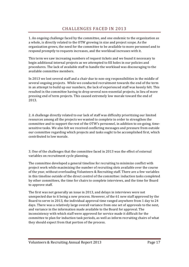1. An ongoing challenge faced by the committee, and one endemic to the organization as a whole, is directly related to the OTW growing in size and project scope. As the organization grows, the need for the committee to be available to more personnel and to respond promptly to requests increases, and the workload increases with it.

This term we saw increasing numbers of request tickets and we found it necessary to begin additional internal projects as we attempted to fill holes in our policies and procedures. The lack of available staff to handle the workload was discouraging to the available committee members.

In 2013 we lost several staff and a chair due to non-org responsibilities in the middle of several ongoing projects. While we conducted recruitment towards the end of the term in an attempt to build up our numbers, the lack of experienced staff was keenly felt. This resulted in the committee having to drop several non-essential projects, in lieu of more pressing end of term projects. This caused extremely low morale toward the end of 2013. 

2. A challenge directly related to our lack of staff was difficulty prioritizing our limited resources among all the projects we wanted to complete in order to strengthen the committee and to support the rest of the OTW's personnel, in addition to on-going, timesensitive tasks. We also felt we received conflicting messages and pressure from outside our committee regarding which projects and tasks ought to be accomplished first, which contributed to low morale.

3. One of the challenges that the committee faced in 2013 was the effect of external variables on recruitment cycle planning.

The committee developed a general timeline for recruiting to minimize conflict with project work while maximizing the number of recruiting slots available over the course of the year, without overloading Volunteers & Recruiting staff. There are a few variables in this timeline outside of the direct control of the committee: induction tasks completed by other committees, the time for chairs to complete interviews, and the time for Board to approve staff.

The first was not generally an issue in 2013, and delays in interviews were not unexpected due to it being a new process. However, of the 61 new staff approved by the Board to serve in 2013, the individual approval time ranged anywhere from 1 day to 24 days. There was a relatively large overall variance from one set of approvals to the next, and variance in the information made available to the Board for approval. The inconsistency with which staff were approved for service made it difficult for the committee to plan for induction task periods, as well as inform recruiting chairs of what they should expect from that portion of the process.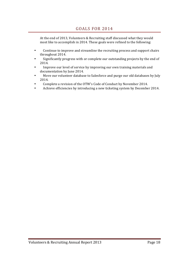At the end of 2013, Volunteers & Recruiting staff discussed what they would most like to accomplish in 2014. These goals were refined to the following:

- Continue to improve and streamline the recruiting process and support chairs throughout 2014.
- Significantly progress with or complete our outstanding projects by the end of 2014.
- Improve our level of service by improving our own training materials and documentation by June 2014.
- Move our volunteer database to Salesforce and purge our old databases by July 2014.
- Complete a revision of the OTW's Code of Conduct by November 2014.
- Achieve efficiencies by introducing a new ticketing system by December 2014.